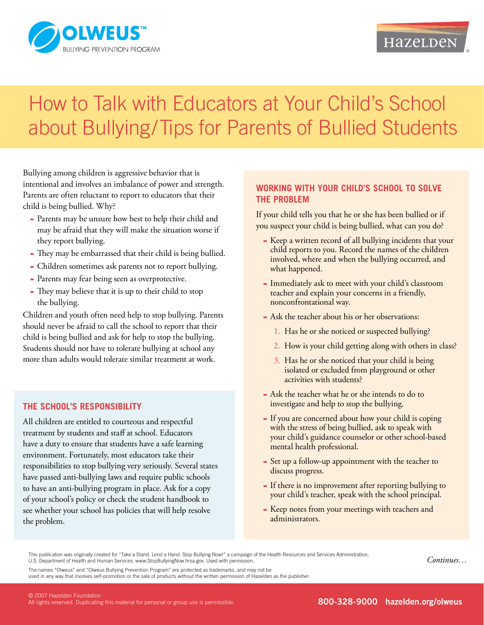

# How to Talk with Educators at Your Child's School about Bullying/Tips for Parents of Bullied Students

Bullying among children is aggressive behavior that is intentional and involves an imbalance of power and strength. Parents are often reluctant to report to educators that their child is being bullied. Why?

- Parents may be unsure how best to help their child and ▀ may be afraid that they will make the situation worse if they report bullying.
- They may be embarrassed that their child is being bullied. ▀
- Children sometimes ask parents not to report bullying.
- Parents may fear being seen as overprotective.
- They may believe that it is up to their child to stop ▀ the bullying.

Children and youth often need help to stop bullying. Parents should never be afraid to call the school to report that their child is being bullied and ask for help to stop the bullying. Students should not have to tolerate bullying at school any more than adults would tolerate similar treatment at work.

## **The school's responsibility**

All children are entitled to courteous and respectful treatment by students and staff at school. Educators have a duty to ensure that students have a safe learning environment. Fortunately, most educators take their responsibilities to stop bullying very seriously. Several states have passed anti-bullying laws and require public schools to have an anti-bullying program in place. Ask for a copy of your school's policy or check the student handbook to see whether your school has policies that will help resolve the problem.

### **Working with your child's school to solve the problem**

If your child tells you that he or she has been bullied or if you suspect your child is being bullied, what can you do?

- Keep a written record of all bullying incidents that your child reports to you. Record the names of the children involved, where and when the bullying occurred, and what happened.
- Immediately ask to meet with your child's classroom teacher and explain your concerns in a friendly, nonconfrontational way.
- Ask the teacher about his or her observations:
	- 1. Has he or she noticed or suspected bullying?
	- 2. How is your child getting along with others in class?
	- 3. Has he or she noticed that your child is being isolated or excluded from playground or other activities with students?
- Ask the teacher what he or she intends to do to ▀ investigate and help to stop the bullying.
- **-** If you are concerned about how your child is coping with the stress of being bullied, ask to speak with your child's guidance counselor or other school-based mental health professional.
- Set up a follow-up appointment with the teacher to discuss progress.
- If there is no improvement after reporting bullying to your child's teacher, speak with the school principal.
- Keep notes from your meetings with teachers and ▀ administrators.

This publication was originally created for "Take a Stand. Lend a Hand. Stop Bullying Now!" a campaign of the Health Resources and Services Administration, U.S. Department of Health and Human Services. www.StopBullyingNow.hrsa.gov. Used with permission.

The names "Olweus" and "Olweus Bullying Prevention Program" are protected as trademarks, and may not be

used in any way that involves self-promotion or the sale of products without the written permission of Hazelden as the publisher.

*Continues…*

© 2007 Hazelden Foundation All rights reserved. Duplicating this material for personal or group use is permissible.